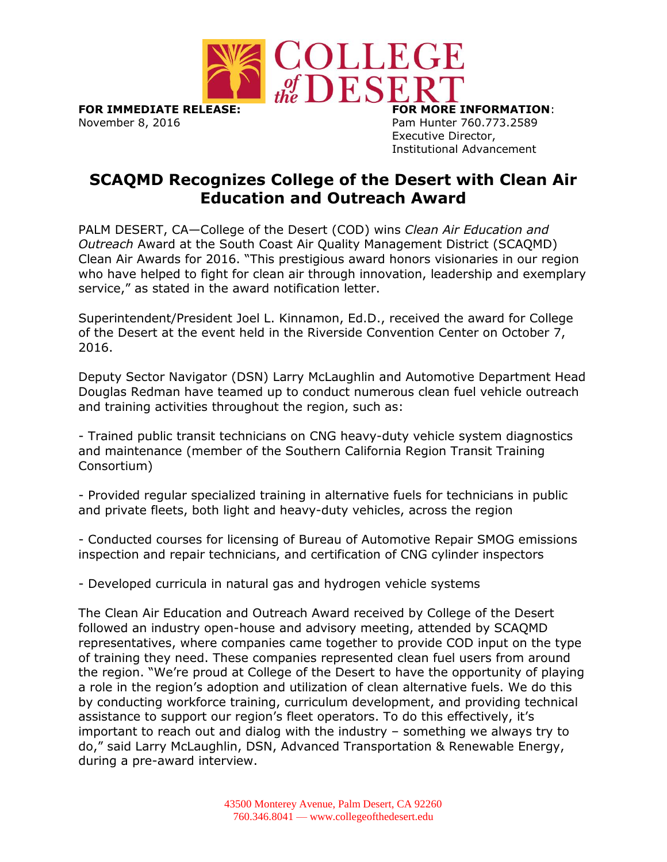

**FOR IMMEDIATE RELEASE: FOR MORE INFORMATION**: November 8, 2016 **Pam Hunter 760.773.2589** 

Executive Director, Institutional Advancement

## **SCAQMD Recognizes College of the Desert with Clean Air Education and Outreach Award**

PALM DESERT, CA—College of the Desert (COD) wins *Clean Air Education and Outreach* Award at the South Coast Air Quality Management District (SCAQMD) Clean Air Awards for 2016. "This prestigious award honors visionaries in our region who have helped to fight for clean air through innovation, leadership and exemplary service," as stated in the award notification letter.

Superintendent/President Joel L. Kinnamon, Ed.D., received the award for College of the Desert at the event held in the Riverside Convention Center on October 7, 2016.

Deputy Sector Navigator (DSN) Larry McLaughlin and Automotive Department Head Douglas Redman have teamed up to conduct numerous clean fuel vehicle outreach and training activities throughout the region, such as:

- Trained public transit technicians on CNG heavy-duty vehicle system diagnostics and maintenance (member of the Southern California Region Transit Training Consortium)

- Provided regular specialized training in alternative fuels for technicians in public and private fleets, both light and heavy-duty vehicles, across the region

- Conducted courses for licensing of Bureau of Automotive Repair SMOG emissions inspection and repair technicians, and certification of CNG cylinder inspectors

- Developed curricula in natural gas and hydrogen vehicle systems

The Clean Air Education and Outreach Award received by College of the Desert followed an industry open-house and advisory meeting, attended by SCAQMD representatives, where companies came together to provide COD input on the type of training they need. These companies represented clean fuel users from around the region. "We're proud at College of the Desert to have the opportunity of playing a role in the region's adoption and utilization of clean alternative fuels. We do this by conducting workforce training, curriculum development, and providing technical assistance to support our region's fleet operators. To do this effectively, it's important to reach out and dialog with the industry – something we always try to do," said Larry McLaughlin, DSN, Advanced Transportation & Renewable Energy, during a pre-award interview.